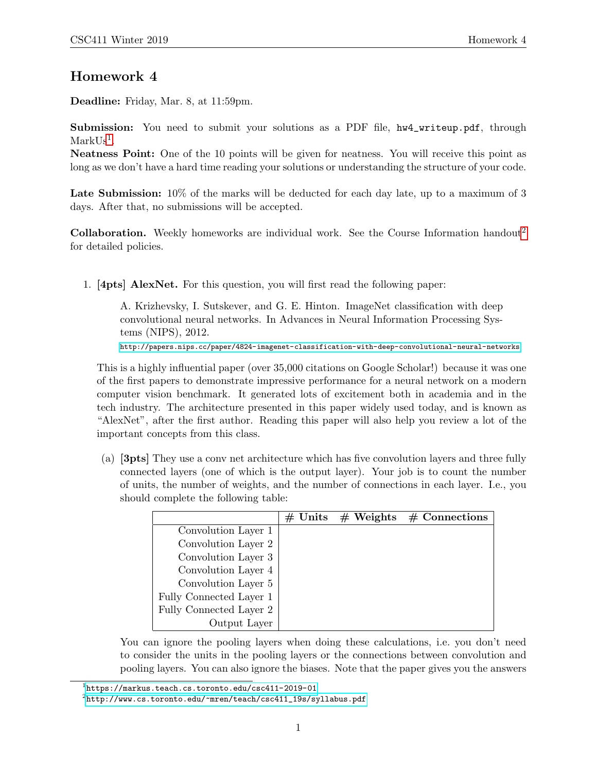## Homework 4

Deadline: Friday, Mar. 8, at 11:59pm.

Submission: You need to submit your solutions as a PDF file, hw4\_writeup.pdf, through  $MarkUs<sup>1</sup>$  $MarkUs<sup>1</sup>$  $MarkUs<sup>1</sup>$ .

Neatness Point: One of the 10 points will be given for neatness. You will receive this point as long as we don't have a hard time reading your solutions or understanding the structure of your code.

Late Submission:  $10\%$  of the marks will be deducted for each day late, up to a maximum of 3 days. After that, no submissions will be accepted.

**Collaboration.** Weekly homeworks are individual work. See the Course Information handout<sup>[2](#page-0-1)</sup> for detailed policies.

1. [4pts] AlexNet. For this question, you will first read the following paper:

A. Krizhevsky, I. Sutskever, and G. E. Hinton. ImageNet classification with deep convolutional neural networks. In Advances in Neural Information Processing Systems (NIPS), 2012.

<http://papers.nips.cc/paper/4824-imagenet-classification-with-deep-convolutional-neural-networks>

This is a highly influential paper (over 35,000 citations on Google Scholar!) because it was one of the first papers to demonstrate impressive performance for a neural network on a modern computer vision benchmark. It generated lots of excitement both in academia and in the tech industry. The architecture presented in this paper widely used today, and is known as "AlexNet", after the first author. Reading this paper will also help you review a lot of the important concepts from this class.

(a) [3pts] They use a conv net architecture which has five convolution layers and three fully connected layers (one of which is the output layer). Your job is to count the number of units, the number of weights, and the number of connections in each layer. I.e., you should complete the following table:

|                         | $\#$ Units | $\#$ Weights | $#$ Connections |
|-------------------------|------------|--------------|-----------------|
| Convolution Layer 1     |            |              |                 |
| Convolution Layer 2     |            |              |                 |
| Convolution Layer 3     |            |              |                 |
| Convolution Layer 4     |            |              |                 |
| Convolution Layer 5     |            |              |                 |
| Fully Connected Layer 1 |            |              |                 |
| Fully Connected Layer 2 |            |              |                 |
| Output Layer            |            |              |                 |

You can ignore the pooling layers when doing these calculations, i.e. you don't need to consider the units in the pooling layers or the connections between convolution and pooling layers. You can also ignore the biases. Note that the paper gives you the answers

<span id="page-0-0"></span> $^1$ https://markus.teach.cs.toronto.edu/csc $411-2019-01$ 

<span id="page-0-1"></span> $^{2}$ http://www.cs.toronto.edu/~mren/teach/csc $411\_19$ s/syllabus.pdf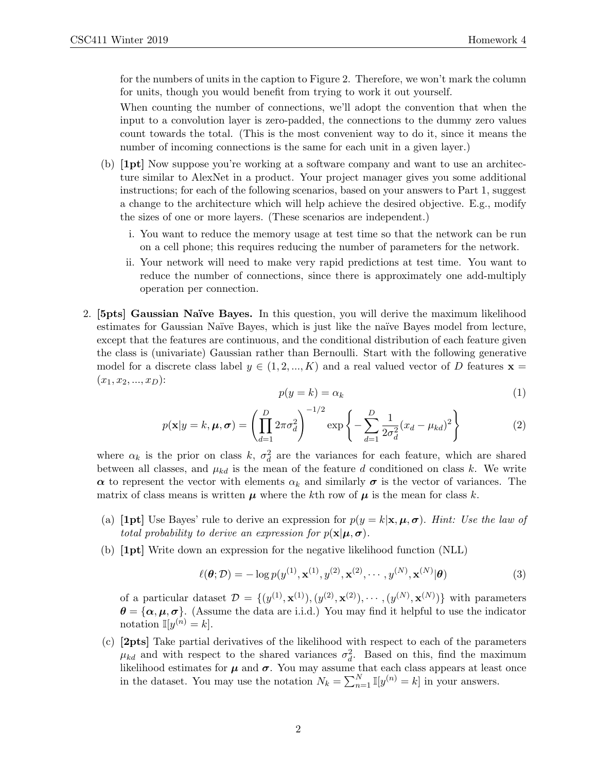for the numbers of units in the caption to Figure 2. Therefore, we won't mark the column for units, though you would benefit from trying to work it out yourself.

When counting the number of connections, we'll adopt the convention that when the input to a convolution layer is zero-padded, the connections to the dummy zero values count towards the total. (This is the most convenient way to do it, since it means the number of incoming connections is the same for each unit in a given layer.)

- (b) [1pt] Now suppose you're working at a software company and want to use an architecture similar to AlexNet in a product. Your project manager gives you some additional instructions; for each of the following scenarios, based on your answers to Part 1, suggest a change to the architecture which will help achieve the desired objective. E.g., modify the sizes of one or more layers. (These scenarios are independent.)
	- i. You want to reduce the memory usage at test time so that the network can be run on a cell phone; this requires reducing the number of parameters for the network.
	- ii. Your network will need to make very rapid predictions at test time. You want to reduce the number of connections, since there is approximately one add-multiply operation per connection.
- 2. [5pts] Gaussian Naïve Bayes. In this question, you will derive the maximum likelihood estimates for Gaussian Naïve Bayes, which is just like the naïve Bayes model from lecture, except that the features are continuous, and the conditional distribution of each feature given the class is (univariate) Gaussian rather than Bernoulli. Start with the following generative model for a discrete class label  $y \in (1, 2, ..., K)$  and a real valued vector of D features  $\mathbf{x} =$  $(x_1, x_2, ..., x_D)$ :

$$
p(y = k) = \alpha_k \tag{1}
$$

$$
p(\mathbf{x}|y=k,\boldsymbol{\mu},\boldsymbol{\sigma}) = \left(\prod_{d=1}^{D} 2\pi \sigma_d^2\right)^{-1/2} \exp\left\{-\sum_{d=1}^{D} \frac{1}{2\sigma_d^2} (x_d - \mu_{kd})^2\right\}
$$
(2)

where  $\alpha_k$  is the prior on class k,  $\sigma_d^2$  are the variances for each feature, which are shared between all classes, and  $\mu_{kd}$  is the mean of the feature d conditioned on class k. We write  $\alpha$  to represent the vector with elements  $\alpha_k$  and similarly  $\sigma$  is the vector of variances. The matrix of class means is written  $\mu$  where the kth row of  $\mu$  is the mean for class k.

- (a) [1pt] Use Bayes' rule to derive an expression for  $p(y = k | \mathbf{x}, \boldsymbol{\mu}, \boldsymbol{\sigma})$ . Hint: Use the law of total probability to derive an expression for  $p(\mathbf{x}|\boldsymbol{\mu},\boldsymbol{\sigma})$ .
- (b) [1pt] Write down an expression for the negative likelihood function (NLL)

$$
\ell(\boldsymbol{\theta}; \mathcal{D}) = -\log p(y^{(1)}, \mathbf{x}^{(1)}, y^{(2)}, \mathbf{x}^{(2)}, \cdots, y^{(N)}, \mathbf{x}^{(N)} | \boldsymbol{\theta})
$$
\n(3)

of a particular dataset  $\mathcal{D} = \{ (y^{(1)}, \mathbf{x}^{(1)}), (y^{(2)}, \mathbf{x}^{(2)}), \cdots, (y^{(N)}, \mathbf{x}^{(N)}) \}$  with parameters  $\theta = {\alpha, \mu, \sigma}$ . (Assume the data are i.i.d.) You may find it helpful to use the indicator notation  $\mathbb{I}[y^{(n)} = k]$ .

(c) [2pts] Take partial derivatives of the likelihood with respect to each of the parameters  $\mu_{kd}$  and with respect to the shared variances  $\sigma_d^2$ . Based on this, find the maximum likelihood estimates for  $\mu$  and  $\sigma$ . You may assume that each class appears at least once in the dataset. You may use the notation  $N_k = \sum_{n=1}^N \mathbb{I}[y^{(n)} = k]$  in your answers.